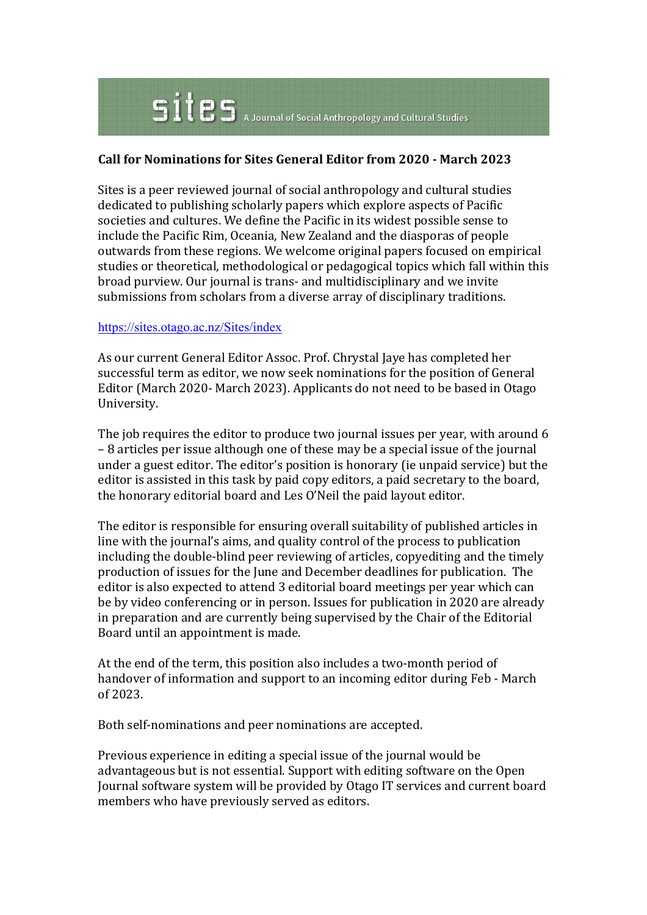## $\mathbf{S}$   $\mathbf{i}$   $\mathbf{e}$   $\mathbf{S}$   $\mathbf{A}$  Journal of Social Anthropology and Cultural Studies

## **Call for Nominations for Sites General Editor from 2020 - March 2023**

Sites is a peer reviewed journal of social anthropology and cultural studies dedicated to publishing scholarly papers which explore aspects of Pacific societies and cultures. We define the Pacific in its widest possible sense to include the Pacific Rim, Oceania, New Zealand and the diasporas of people outwards from these regions. We welcome original papers focused on empirical studies or theoretical, methodological or pedagogical topics which fall within this broad purview. Our journal is trans- and multidisciplinary and we invite submissions from scholars from a diverse array of disciplinary traditions.

## https://sites.otago.ac.nz/Sites/index

As our current General Editor Assoc. Prof. Chrystal Jaye has completed her successful term as editor, we now seek nominations for the position of General Editor (March 2020- March 2023). Applicants do not need to be based in Otago University.

The job requires the editor to produce two journal issues per year, with around 6 – 8 articles per issue although one of these may be a special issue of the journal under a guest editor. The editor's position is honorary (ie unpaid service) but the editor is assisted in this task by paid copy editors, a paid secretary to the board, the honorary editorial board and Les O'Neil the paid layout editor.

The editor is responsible for ensuring overall suitability of published articles in line with the journal's aims, and quality control of the process to publication including the double-blind peer reviewing of articles, copyediting and the timely production of issues for the June and December deadlines for publication. The editor is also expected to attend 3 editorial board meetings per year which can be by video conferencing or in person. Issues for publication in 2020 are already in preparation and are currently being supervised by the Chair of the Editorial Board until an appointment is made.

At the end of the term, this position also includes a two-month period of handover of information and support to an incoming editor during Feb - March of 2023.

Both self-nominations and peer nominations are accepted.

Previous experience in editing a special issue of the journal would be advantageous but is not essential. Support with editing software on the Open Journal software system will be provided by Otago IT services and current board members who have previously served as editors.